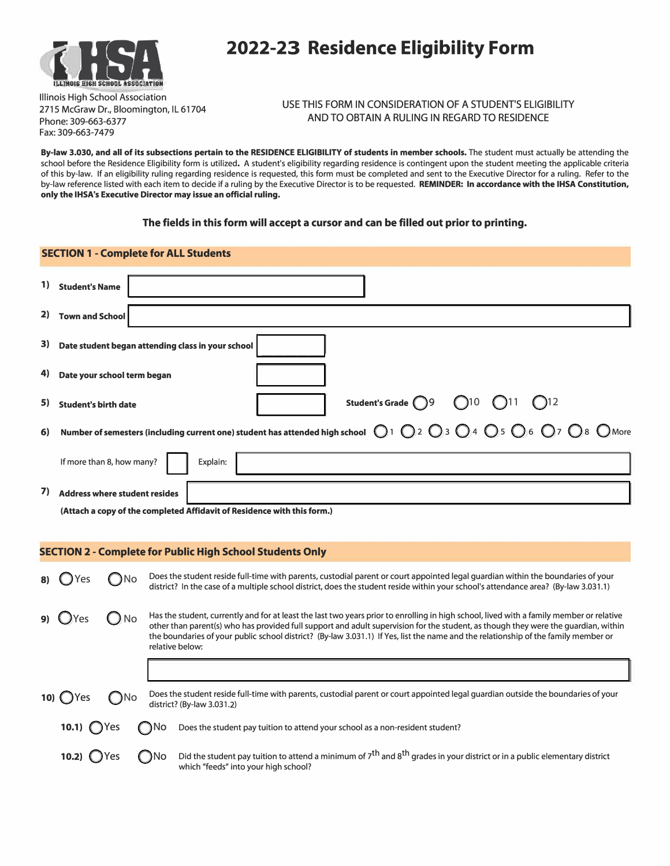

## **IHSA 2022-2<sup>3</sup> Residence Eligibility Form**

Illinois High School Association 2715 McGraw Dr., Bloomington, IL 61704 Phone: 309-663-6377 Fax: 309-663-7479

USE THIS FORM IN CONSIDERATION OF A STUDENT'S ELIGIBILITY AND TO OBTAIN A RULING IN REGARD TO RESIDENCE

**By-law 3.030, and all of its subsections pertain to the RESIDENCE ELIGIBILITY of students in member schools.** The student must actually be attending the school before the Residence Eligibility form is utilized. A student's eligibility regarding residence is contingent upon the student meeting the applicable criteria of this by-law. If an eligibility ruling regarding residence is requested, this form must be completed and sent to the Executive Director for a ruling. Refer to the by-law reference listed with each item to decide if a ruling by the Executive Director is to be requested. **REMINDER: In accordance with the IHSA Constitution, only the IHSA's Executive Director may issue an official ruling.** 

## **The fields in this form will accept a cursor and can be filled out prior to printing.**

| <b>SECTION 1 - Complete for ALL Students</b>                     |                                                                                                                                                                                                      |                                                                                                                                                                                                                                                                                                                                                                                                                                         |  |  |  |  |
|------------------------------------------------------------------|------------------------------------------------------------------------------------------------------------------------------------------------------------------------------------------------------|-----------------------------------------------------------------------------------------------------------------------------------------------------------------------------------------------------------------------------------------------------------------------------------------------------------------------------------------------------------------------------------------------------------------------------------------|--|--|--|--|
|                                                                  | 1) Student's Name                                                                                                                                                                                    |                                                                                                                                                                                                                                                                                                                                                                                                                                         |  |  |  |  |
|                                                                  | 2) Town and School                                                                                                                                                                                   |                                                                                                                                                                                                                                                                                                                                                                                                                                         |  |  |  |  |
| 3)                                                               | Date student began attending class in your school                                                                                                                                                    |                                                                                                                                                                                                                                                                                                                                                                                                                                         |  |  |  |  |
| 4)                                                               | Date your school term began                                                                                                                                                                          |                                                                                                                                                                                                                                                                                                                                                                                                                                         |  |  |  |  |
| 5)                                                               | Student's Grade (9<br>$\bigcirc$ 10<br><b>Student's birth date</b>                                                                                                                                   |                                                                                                                                                                                                                                                                                                                                                                                                                                         |  |  |  |  |
| 6)                                                               | Number of semesters (including current one) student has attended high school $\bigcirc$ 1 $\bigcirc$ 2 $\bigcirc$ 3 $\bigcirc$ 4 $\bigcirc$ 5 $\bigcirc$ 6 $\bigcirc$ 7 $\bigcirc$ 8 $\bigcirc$ More |                                                                                                                                                                                                                                                                                                                                                                                                                                         |  |  |  |  |
|                                                                  | If more than 8, how many?                                                                                                                                                                            | Explain:                                                                                                                                                                                                                                                                                                                                                                                                                                |  |  |  |  |
| 7)                                                               | <b>Address where student resides</b>                                                                                                                                                                 |                                                                                                                                                                                                                                                                                                                                                                                                                                         |  |  |  |  |
|                                                                  |                                                                                                                                                                                                      | (Attach a copy of the completed Affidavit of Residence with this form.)                                                                                                                                                                                                                                                                                                                                                                 |  |  |  |  |
| <b>SECTION 2 - Complete for Public High School Students Only</b> |                                                                                                                                                                                                      |                                                                                                                                                                                                                                                                                                                                                                                                                                         |  |  |  |  |
| 8)                                                               | $\bigcirc$ No<br>() Yes                                                                                                                                                                              | Does the student reside full-time with parents, custodial parent or court appointed legal guardian within the boundaries of your<br>district? In the case of a multiple school district, does the student reside within your school's attendance area? (By-law 3.031.1)                                                                                                                                                                 |  |  |  |  |
| 9)                                                               | D No<br><b>U</b> Yes                                                                                                                                                                                 | Has the student, currently and for at least the last two years prior to enrolling in high school, lived with a family member or relative<br>other than parent(s) who has provided full support and adult supervision for the student, as though they were the quardian, within<br>the boundaries of your public school district? (By-law 3.031.1) If Yes, list the name and the relationship of the family member or<br>relative below: |  |  |  |  |
|                                                                  |                                                                                                                                                                                                      |                                                                                                                                                                                                                                                                                                                                                                                                                                         |  |  |  |  |
|                                                                  | 10) $OY$ es<br>No.                                                                                                                                                                                   | Does the student reside full-time with parents, custodial parent or court appointed legal guardian outside the boundaries of your<br>district? (By-law 3.031.2)                                                                                                                                                                                                                                                                         |  |  |  |  |
|                                                                  | 10.1)<br>es                                                                                                                                                                                          | ำNo<br>Does the student pay tuition to attend your school as a non-resident student?                                                                                                                                                                                                                                                                                                                                                    |  |  |  |  |
|                                                                  | 10.2)<br>Yes                                                                                                                                                                                         | Did the student pay tuition to attend a minimum of 7 <sup>th</sup> and 8 <sup>th</sup> grades in your district or in a public elementary district<br>: )No<br>which "feeds" into your high school?                                                                                                                                                                                                                                      |  |  |  |  |